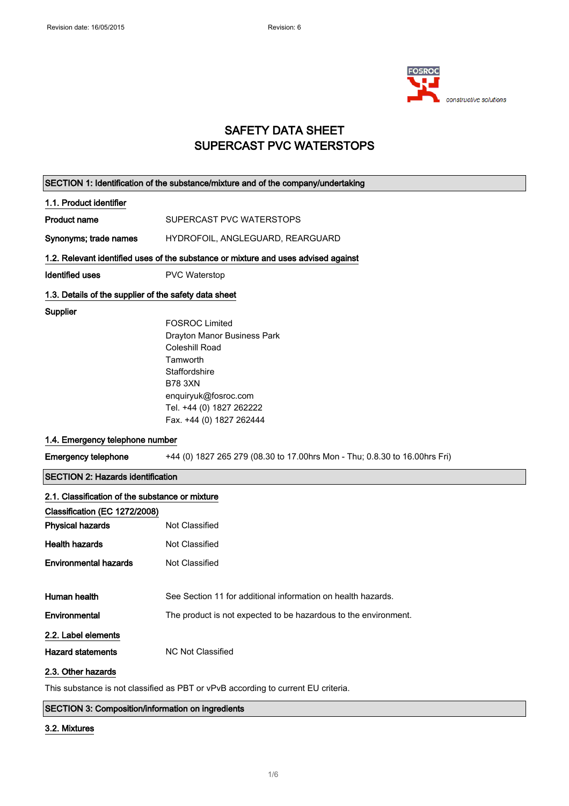

## SAFETY DATA SHEET SUPERCAST PVC WATERSTOPS

|                                                       | SECTION 1: Identification of the substance/mixture and of the company/undertaking  |
|-------------------------------------------------------|------------------------------------------------------------------------------------|
| 1.1. Product identifier                               |                                                                                    |
| <b>Product name</b>                                   | SUPERCAST PVC WATERSTOPS                                                           |
| Synonyms; trade names                                 | HYDROFOIL, ANGLEGUARD, REARGUARD                                                   |
|                                                       | 1.2. Relevant identified uses of the substance or mixture and uses advised against |
| <b>Identified uses</b>                                | <b>PVC Waterstop</b>                                                               |
| 1.3. Details of the supplier of the safety data sheet |                                                                                    |
| Supplier                                              |                                                                                    |
|                                                       | <b>FOSROC Limited</b>                                                              |
|                                                       | Drayton Manor Business Park                                                        |
|                                                       | <b>Coleshill Road</b>                                                              |
|                                                       | Tamworth                                                                           |
|                                                       | Staffordshire                                                                      |
|                                                       | <b>B78 3XN</b>                                                                     |
|                                                       | enquiryuk@fosroc.com                                                               |
|                                                       | Tel. +44 (0) 1827 262222                                                           |
|                                                       | Fax. +44 (0) 1827 262444                                                           |
| 1.4. Emergency telephone number                       |                                                                                    |
| <b>Emergency telephone</b>                            | +44 (0) 1827 265 279 (08.30 to 17.00hrs Mon - Thu; 0.8.30 to 16.00hrs Fri)         |
|                                                       |                                                                                    |
| <b>SECTION 2: Hazards identification</b>              |                                                                                    |
| 2.1. Classification of the substance or mixture       |                                                                                    |
| Classification (EC 1272/2008)                         |                                                                                    |
| <b>Physical hazards</b>                               | Not Classified                                                                     |
| <b>Health hazards</b>                                 | Not Classified                                                                     |
| <b>Environmental hazards</b>                          | Not Classified                                                                     |
|                                                       |                                                                                    |
| Human health                                          | See Section 11 for additional information on health hazards.                       |
| Environmental                                         | The product is not expected to be hazardous to the environment.                    |
| 2.2. Label elements                                   |                                                                                    |
| <b>Hazard statements</b>                              | NC Not Classified                                                                  |
| 2.3. Other hazards                                    |                                                                                    |

SECTION 3: Composition/information on ingredients

### 3.2. Mixtures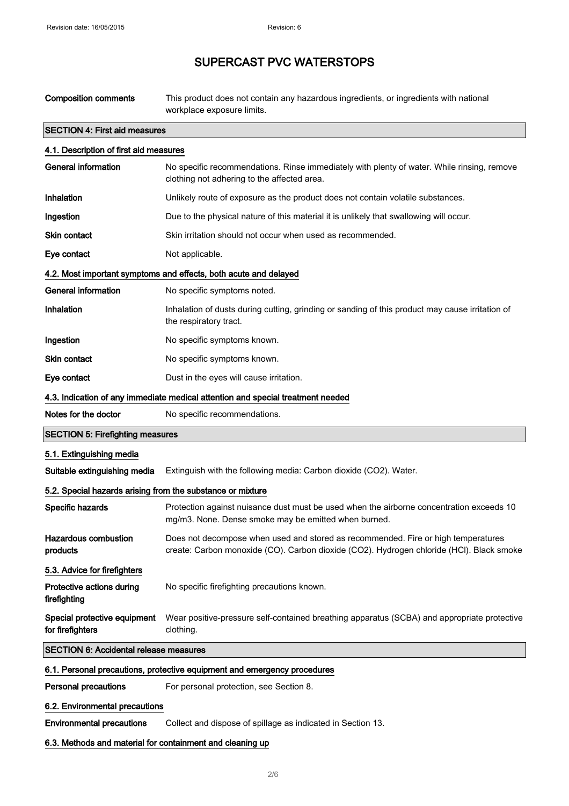| <b>Composition comments</b>                                | This product does not contain any hazardous ingredients, or ingredients with national<br>workplace exposure limits.                                                           |
|------------------------------------------------------------|-------------------------------------------------------------------------------------------------------------------------------------------------------------------------------|
| <b>SECTION 4: First aid measures</b>                       |                                                                                                                                                                               |
| 4.1. Description of first aid measures                     |                                                                                                                                                                               |
| <b>General information</b>                                 | No specific recommendations. Rinse immediately with plenty of water. While rinsing, remove<br>clothing not adhering to the affected area.                                     |
| <b>Inhalation</b>                                          | Unlikely route of exposure as the product does not contain volatile substances.                                                                                               |
| Ingestion                                                  | Due to the physical nature of this material it is unlikely that swallowing will occur.                                                                                        |
| Skin contact                                               | Skin irritation should not occur when used as recommended.                                                                                                                    |
| Eye contact                                                | Not applicable.                                                                                                                                                               |
|                                                            | 4.2. Most important symptoms and effects, both acute and delayed                                                                                                              |
| <b>General information</b>                                 | No specific symptoms noted.                                                                                                                                                   |
| Inhalation                                                 | Inhalation of dusts during cutting, grinding or sanding of this product may cause irritation of<br>the respiratory tract.                                                     |
| Ingestion                                                  | No specific symptoms known.                                                                                                                                                   |
| <b>Skin contact</b>                                        | No specific symptoms known.                                                                                                                                                   |
| Eye contact                                                | Dust in the eyes will cause irritation.                                                                                                                                       |
|                                                            | 4.3. Indication of any immediate medical attention and special treatment needed                                                                                               |
| Notes for the doctor                                       | No specific recommendations.                                                                                                                                                  |
| <b>SECTION 5: Firefighting measures</b>                    |                                                                                                                                                                               |
| 5.1. Extinguishing media                                   |                                                                                                                                                                               |
| Suitable extinguishing media                               | Extinguish with the following media: Carbon dioxide (CO2). Water.                                                                                                             |
| 5.2. Special hazards arising from the substance or mixture |                                                                                                                                                                               |
| Specific hazards                                           | Protection against nuisance dust must be used when the airborne concentration exceeds 10<br>mg/m3. None. Dense smoke may be emitted when burned.                              |
| <b>Hazardous combustion</b><br>products                    | Does not decompose when used and stored as recommended. Fire or high temperatures<br>create: Carbon monoxide (CO). Carbon dioxide (CO2). Hydrogen chloride (HCl). Black smoke |
| 5.3. Advice for firefighters                               |                                                                                                                                                                               |
| Protective actions during<br>firefighting                  | No specific firefighting precautions known.                                                                                                                                   |
| Special protective equipment<br>for firefighters           | Wear positive-pressure self-contained breathing apparatus (SCBA) and appropriate protective<br>clothing.                                                                      |
| <b>SECTION 6: Accidental release measures</b>              |                                                                                                                                                                               |
|                                                            | 6.1. Personal precautions, protective equipment and emergency procedures                                                                                                      |
| <b>Personal precautions</b>                                | For personal protection, see Section 8.                                                                                                                                       |
| 6.2. Environmental precautions                             |                                                                                                                                                                               |
| <b>Environmental precautions</b>                           | Collect and dispose of spillage as indicated in Section 13.                                                                                                                   |
| 6.3. Methods and material for containment and cleaning up  |                                                                                                                                                                               |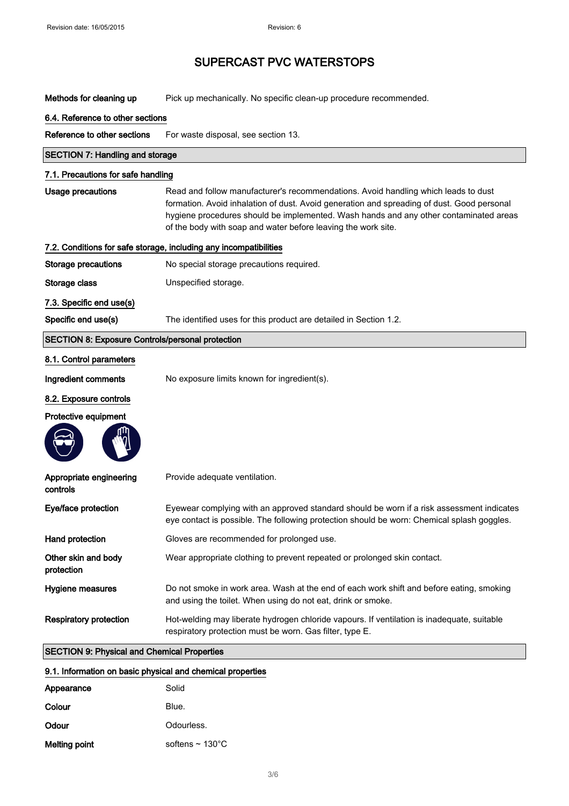| Methods for cleaning up                                 | Pick up mechanically. No specific clean-up procedure recommended.                                                                                                                                                                                                                                                                          |
|---------------------------------------------------------|--------------------------------------------------------------------------------------------------------------------------------------------------------------------------------------------------------------------------------------------------------------------------------------------------------------------------------------------|
| 6.4. Reference to other sections                        |                                                                                                                                                                                                                                                                                                                                            |
| Reference to other sections                             | For waste disposal, see section 13.                                                                                                                                                                                                                                                                                                        |
| <b>SECTION 7: Handling and storage</b>                  |                                                                                                                                                                                                                                                                                                                                            |
| 7.1. Precautions for safe handling                      |                                                                                                                                                                                                                                                                                                                                            |
| Usage precautions                                       | Read and follow manufacturer's recommendations. Avoid handling which leads to dust<br>formation. Avoid inhalation of dust. Avoid generation and spreading of dust. Good personal<br>hygiene procedures should be implemented. Wash hands and any other contaminated areas<br>of the body with soap and water before leaving the work site. |
|                                                         | 7.2. Conditions for safe storage, including any incompatibilities                                                                                                                                                                                                                                                                          |
| <b>Storage precautions</b>                              | No special storage precautions required.                                                                                                                                                                                                                                                                                                   |
| Storage class                                           | Unspecified storage.                                                                                                                                                                                                                                                                                                                       |
| 7.3. Specific end use(s)                                |                                                                                                                                                                                                                                                                                                                                            |
| Specific end use(s)                                     | The identified uses for this product are detailed in Section 1.2.                                                                                                                                                                                                                                                                          |
| <b>SECTION 8: Exposure Controls/personal protection</b> |                                                                                                                                                                                                                                                                                                                                            |
| 8.1. Control parameters                                 |                                                                                                                                                                                                                                                                                                                                            |
| Ingredient comments                                     | No exposure limits known for ingredient(s).                                                                                                                                                                                                                                                                                                |
| 8.2. Exposure controls                                  |                                                                                                                                                                                                                                                                                                                                            |
| Protective equipment                                    |                                                                                                                                                                                                                                                                                                                                            |
|                                                         |                                                                                                                                                                                                                                                                                                                                            |
| Appropriate engineering<br>controls                     | Provide adequate ventilation.                                                                                                                                                                                                                                                                                                              |
| Eye/face protection                                     | Eyewear complying with an approved standard should be worn if a risk assessment indicates<br>eye contact is possible. The following protection should be worn: Chemical splash goggles.                                                                                                                                                    |
| Hand protection                                         | Gloves are recommended for prolonged use.                                                                                                                                                                                                                                                                                                  |
| Other skin and body<br>protection                       | Wear appropriate clothing to prevent repeated or prolonged skin contact.                                                                                                                                                                                                                                                                   |
| <b>Hygiene measures</b>                                 | Do not smoke in work area. Wash at the end of each work shift and before eating, smoking<br>and using the toilet. When using do not eat, drink or smoke.                                                                                                                                                                                   |
| <b>Respiratory protection</b>                           | Hot-welding may liberate hydrogen chloride vapours. If ventilation is inadequate, suitable<br>respiratory protection must be worn. Gas filter, type E.                                                                                                                                                                                     |
| <b>SECTION 9: Physical and Chemical Properties</b>      |                                                                                                                                                                                                                                                                                                                                            |

| 9.1. Information on basic physical and chemical properties |                              |  |
|------------------------------------------------------------|------------------------------|--|
| Appearance                                                 | Solid                        |  |
| Colour                                                     | Blue.                        |  |
| Odour                                                      | Odourless.                   |  |
| Melting point                                              | softens $\sim 130^{\circ}$ C |  |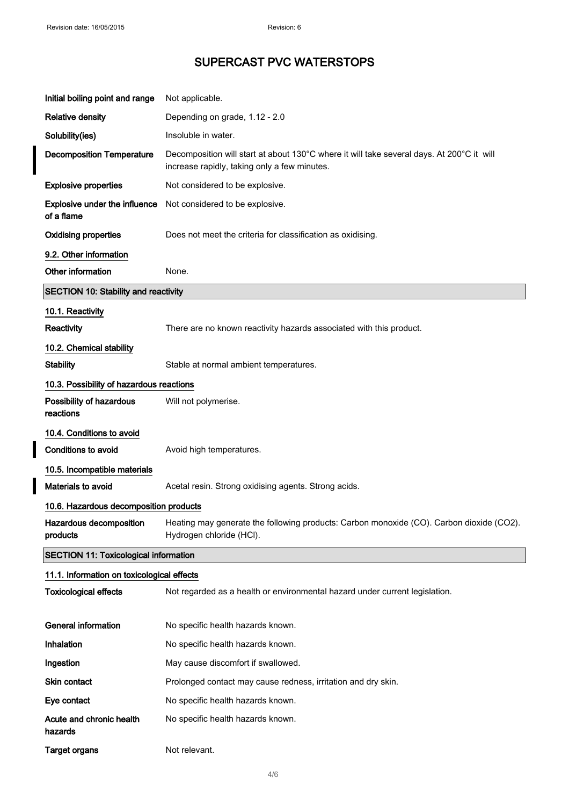I I

I

## SUPERCAST PVC WATERSTOPS

| Initial boiling point and range              | Not applicable.                                                                                                                              |
|----------------------------------------------|----------------------------------------------------------------------------------------------------------------------------------------------|
| <b>Relative density</b>                      | Depending on grade, 1.12 - 2.0                                                                                                               |
| Solubility(ies)                              | Insoluble in water.                                                                                                                          |
| <b>Decomposition Temperature</b>             | Decomposition will start at about 130°C where it will take several days. At 200°C it will<br>increase rapidly, taking only a few minutes.    |
| <b>Explosive properties</b>                  | Not considered to be explosive.                                                                                                              |
| Explosive under the influence<br>of a flame  | Not considered to be explosive.                                                                                                              |
| <b>Oxidising properties</b>                  | Does not meet the criteria for classification as oxidising.                                                                                  |
| 9.2. Other information                       |                                                                                                                                              |
| Other information                            | None.                                                                                                                                        |
| <b>SECTION 10: Stability and reactivity</b>  |                                                                                                                                              |
| 10.1. Reactivity                             |                                                                                                                                              |
| Reactivity                                   | There are no known reactivity hazards associated with this product.                                                                          |
| 10.2. Chemical stability                     |                                                                                                                                              |
| <b>Stability</b>                             | Stable at normal ambient temperatures.                                                                                                       |
| 10.3. Possibility of hazardous reactions     |                                                                                                                                              |
| Possibility of hazardous<br>reactions        | Will not polymerise.                                                                                                                         |
| 10.4. Conditions to avoid                    |                                                                                                                                              |
| <b>Conditions to avoid</b>                   | Avoid high temperatures.                                                                                                                     |
| 10.5. Incompatible materials                 |                                                                                                                                              |
| Materials to avoid                           | Acetal resin. Strong oxidising agents. Strong acids.                                                                                         |
| 10.6. Hazardous decomposition products       |                                                                                                                                              |
| products                                     | Hazardous decomposition Heating may generate the following products: Carbon monoxide (CO). Carbon dioxide (CO2).<br>Hydrogen chloride (HCI). |
| <b>SECTION 11: Toxicological information</b> |                                                                                                                                              |
| 11.1. Information on toxicological effects   |                                                                                                                                              |
| <b>Toxicological effects</b>                 | Not regarded as a health or environmental hazard under current legislation.                                                                  |
| <b>General information</b>                   | No specific health hazards known.                                                                                                            |
| Inhalation                                   | No specific health hazards known.                                                                                                            |
| Ingestion                                    | May cause discomfort if swallowed.                                                                                                           |
| Skin contact                                 | Prolonged contact may cause redness, irritation and dry skin.                                                                                |
| Eye contact                                  | No specific health hazards known.                                                                                                            |
| Acute and chronic health<br>hazards          | No specific health hazards known.                                                                                                            |
| <b>Target organs</b>                         | Not relevant.                                                                                                                                |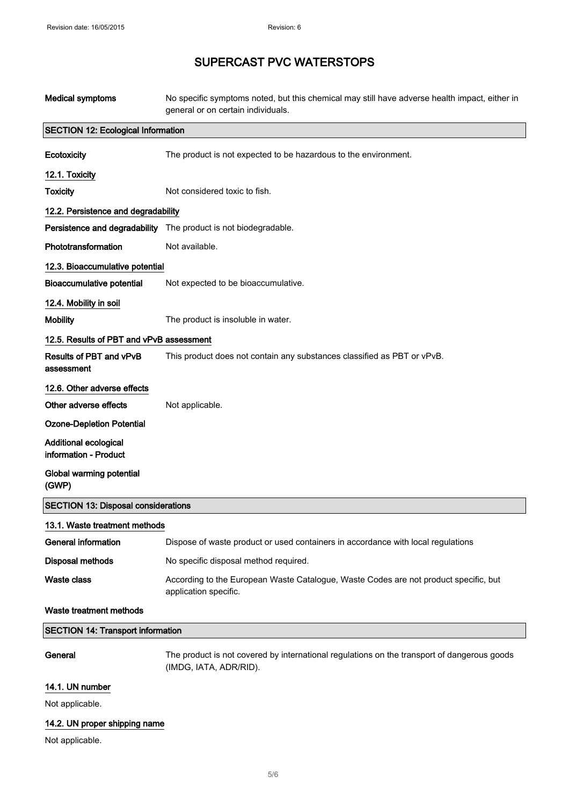| <b>Medical symptoms</b>                               | No specific symptoms noted, but this chemical may still have adverse health impact, either in<br>general or on certain individuals. |
|-------------------------------------------------------|-------------------------------------------------------------------------------------------------------------------------------------|
| <b>SECTION 12: Ecological Information</b>             |                                                                                                                                     |
| Ecotoxicity                                           | The product is not expected to be hazardous to the environment.                                                                     |
| 12.1. Toxicity                                        |                                                                                                                                     |
| <b>Toxicity</b>                                       | Not considered toxic to fish.                                                                                                       |
| 12.2. Persistence and degradability                   |                                                                                                                                     |
|                                                       | Persistence and degradability The product is not biodegradable.                                                                     |
| Phototransformation                                   | Not available.                                                                                                                      |
| 12.3. Bioaccumulative potential                       |                                                                                                                                     |
| <b>Bioaccumulative potential</b>                      | Not expected to be bioaccumulative.                                                                                                 |
| 12.4. Mobility in soil                                |                                                                                                                                     |
| <b>Mobility</b>                                       | The product is insoluble in water.                                                                                                  |
| 12.5. Results of PBT and vPvB assessment              |                                                                                                                                     |
| Results of PBT and vPvB<br>assessment                 | This product does not contain any substances classified as PBT or vPvB.                                                             |
| 12.6. Other adverse effects                           |                                                                                                                                     |
| Other adverse effects                                 | Not applicable.                                                                                                                     |
| <b>Ozone-Depletion Potential</b>                      |                                                                                                                                     |
| <b>Additional ecological</b><br>information - Product |                                                                                                                                     |
| Global warming potential<br>(GWP)                     |                                                                                                                                     |
| <b>SECTION 13: Disposal considerations</b>            |                                                                                                                                     |
| 13.1. Waste treatment methods                         |                                                                                                                                     |
| <b>General information</b>                            | Dispose of waste product or used containers in accordance with local regulations                                                    |
| <b>Disposal methods</b>                               | No specific disposal method required.                                                                                               |
| <b>Waste class</b>                                    | According to the European Waste Catalogue, Waste Codes are not product specific, but<br>application specific.                       |
| Waste treatment methods                               |                                                                                                                                     |
| <b>SECTION 14: Transport information</b>              |                                                                                                                                     |
| General                                               | The product is not covered by international regulations on the transport of dangerous goods<br>(IMDG, IATA, ADR/RID).               |
| 14.1. UN number                                       |                                                                                                                                     |
| Not applicable.                                       |                                                                                                                                     |

### 14.2. UN proper shipping name

Not applicable.